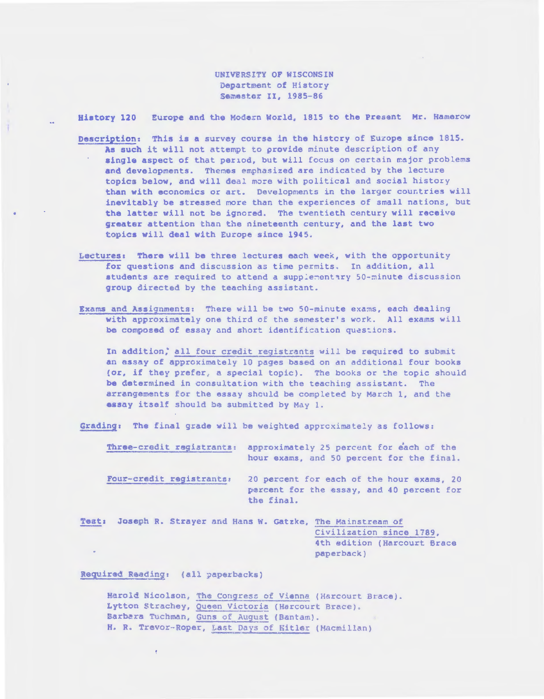UNIVERSITY OF WISCONSIN Department of History Semester II, 1985-86

Europe and the Modern World, 1815 to the Present Mr. Hamerow History 120

- Description: This is a survey course in the history of Europe since 1815. As such it will not attempt to provide minute description of any single aspect of that period, but will focus on certain major problems and developments. Themes emphasized are indicated by the lecture topics below, and will deal more with political and social history than with economics or art. Developments in the larger countries will inevitably be stressed more than the experiences of small nations, but the latter will not be ignored. The twentieth century will receive greater attention than the nineteenth century, and the last two topics will deal with Europe since 1945.
- Lectures: There will be three lectures each week, with the opportunity for questions and discussion as time permits. In addition, all students are required to attend a supplementary 50-minute discussion group directed by the teaching assistant.
- Exams and Assignments: There will be two 50-minute exams, each dealing with approximately one third of the semester's work. All exams will be composed of essay and short identification questions.

In addition, all four credit registrants will be required to submit an essay of approximately 10 pages based on an additional four books (or, if they prefer, a special topic). The books or the topic should be determined in consultation with the teaching assistant. The arrangements for the essay should be completed by March 1, and the essay itself should be submitted by May 1.

Grading: The final grade will be weighted approximately as follows:

Three-credit registrants: approximately 25 percent for each of the hour exams, and 50 percent for the final.

Four-credit registrants: 20 percent for each of the hour exams, 20 percent for the essay, and 40 percent for the final.

Test: Joseph R. Strayer and Hans W. Gatzke, The Mainstream of Civilization since 1789, 4th edition (Harcourt Brace paperback)

Required Reading: (all paperbacks)

÷

Harold Nicolson, The Congress of Vienna (Harcourt Brace). Lytton Strachey, Queen Victoria (Harcourt Brace). Barbara Tuchman, Guns of August (Bantam). H. R. Trevor-Roper, Last Days of Kitler (Macmillan)